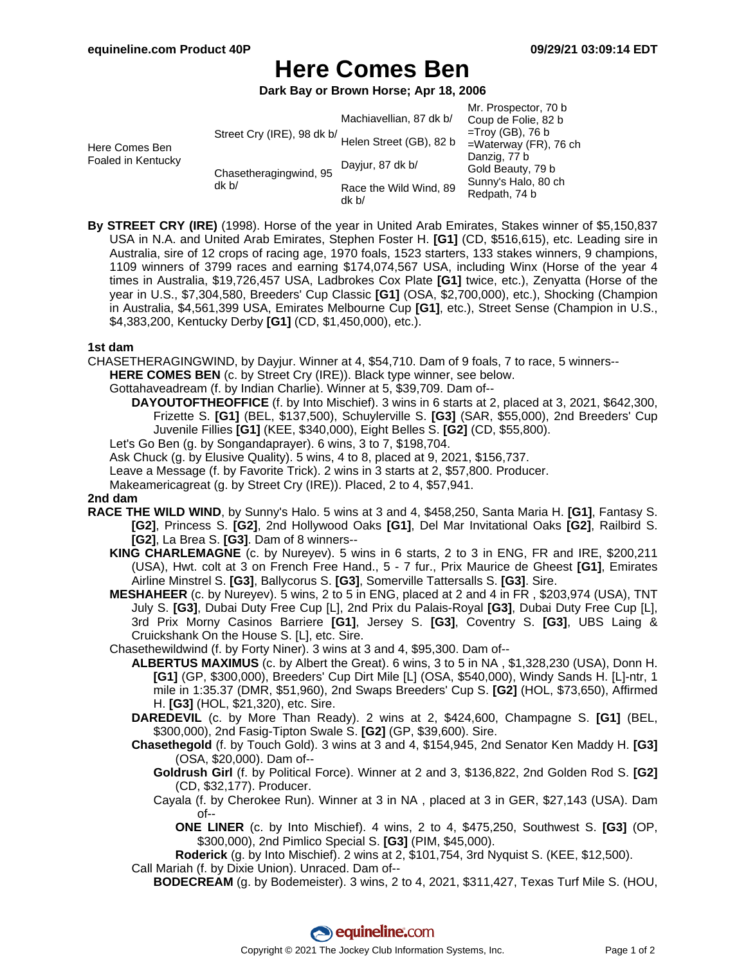# **Here Comes Ben**

**Dark Bay or Brown Horse; Apr 18, 2006**

|                                      |                                                       |                                 | Mr. Prospector, 70 b                 |
|--------------------------------------|-------------------------------------------------------|---------------------------------|--------------------------------------|
| Here Comes Ben<br>Foaled in Kentucky | Street Cry (IRE), 98 dk b/<br>Helen Street (GB), 82 b | Machiavellian, 87 dk b/         | Coup de Folie, 82 b                  |
|                                      |                                                       |                                 | $=$ Troy (GB), 76 b                  |
|                                      |                                                       |                                 | $=$ Waterway (FR), 76 ch             |
|                                      | Chasetheragingwind, 95<br>dk b/                       | Dayjur, 87 dk b/                | Danzig, 77 b                         |
|                                      |                                                       |                                 | Gold Beauty, 79 b                    |
|                                      |                                                       | Race the Wild Wind, 89<br>dk b/ | Sunny's Halo, 80 ch<br>Redpath, 74 b |

**By STREET CRY (IRE)** (1998). Horse of the year in United Arab Emirates, Stakes winner of \$5,150,837 USA in N.A. and United Arab Emirates, Stephen Foster H. **[G1]** (CD, \$516,615), etc. Leading sire in Australia, sire of 12 crops of racing age, 1970 foals, 1523 starters, 133 stakes winners, 9 champions, 1109 winners of 3799 races and earning \$174,074,567 USA, including Winx (Horse of the year 4 times in Australia, \$19,726,457 USA, Ladbrokes Cox Plate **[G1]** twice, etc.), Zenyatta (Horse of the year in U.S., \$7,304,580, Breeders' Cup Classic **[G1]** (OSA, \$2,700,000), etc.), Shocking (Champion in Australia, \$4,561,399 USA, Emirates Melbourne Cup **[G1]**, etc.), Street Sense (Champion in U.S., \$4,383,200, Kentucky Derby **[G1]** (CD, \$1,450,000), etc.).

### **1st dam**

CHASETHERAGINGWIND, by Dayjur. Winner at 4, \$54,710. Dam of 9 foals, 7 to race, 5 winners--

- **HERE COMES BEN** (c. by Street Cry (IRE)). Black type winner, see below.
	- Gottahaveadream (f. by Indian Charlie). Winner at 5, \$39,709. Dam of--
		- **DAYOUTOFTHEOFFICE** (f. by Into Mischief). 3 wins in 6 starts at 2, placed at 3, 2021, \$642,300, Frizette S. **[G1]** (BEL, \$137,500), Schuylerville S. **[G3]** (SAR, \$55,000), 2nd Breeders' Cup Juvenile Fillies **[G1]** (KEE, \$340,000), Eight Belles S. **[G2]** (CD, \$55,800).

Let's Go Ben (g. by Songandaprayer). 6 wins, 3 to 7, \$198,704.

- Ask Chuck (g. by Elusive Quality). 5 wins, 4 to 8, placed at 9, 2021, \$156,737.
- Leave a Message (f. by Favorite Trick). 2 wins in 3 starts at 2, \$57,800. Producer.

Makeamericagreat (g. by Street Cry (IRE)). Placed, 2 to 4, \$57,941.

## **2nd dam**

- **RACE THE WILD WIND**, by Sunny's Halo. 5 wins at 3 and 4, \$458,250, Santa Maria H. **[G1]**, Fantasy S. **[G2]**, Princess S. **[G2]**, 2nd Hollywood Oaks **[G1]**, Del Mar Invitational Oaks **[G2]**, Railbird S. **[G2]**, La Brea S. **[G3]**. Dam of 8 winners--
	- **KING CHARLEMAGNE** (c. by Nureyev). 5 wins in 6 starts, 2 to 3 in ENG, FR and IRE, \$200,211 (USA), Hwt. colt at 3 on French Free Hand., 5 - 7 fur., Prix Maurice de Gheest **[G1]**, Emirates Airline Minstrel S. **[G3]**, Ballycorus S. **[G3]**, Somerville Tattersalls S. **[G3]**. Sire.
	- **MESHAHEER** (c. by Nureyev). 5 wins, 2 to 5 in ENG, placed at 2 and 4 in FR , \$203,974 (USA), TNT July S. **[G3]**, Dubai Duty Free Cup [L], 2nd Prix du Palais-Royal **[G3]**, Dubai Duty Free Cup [L], 3rd Prix Morny Casinos Barriere **[G1]**, Jersey S. **[G3]**, Coventry S. **[G3]**, UBS Laing & Cruickshank On the House S. [L], etc. Sire.

Chasethewildwind (f. by Forty Niner). 3 wins at 3 and 4, \$95,300. Dam of--

- **ALBERTUS MAXIMUS** (c. by Albert the Great). 6 wins, 3 to 5 in NA , \$1,328,230 (USA), Donn H. **[G1]** (GP, \$300,000), Breeders' Cup Dirt Mile [L] (OSA, \$540,000), Windy Sands H. [L]-ntr, 1 mile in 1:35.37 (DMR, \$51,960), 2nd Swaps Breeders' Cup S. **[G2]** (HOL, \$73,650), Affirmed H. **[G3]** (HOL, \$21,320), etc. Sire.
- **DAREDEVIL** (c. by More Than Ready). 2 wins at 2, \$424,600, Champagne S. **[G1]** (BEL, \$300,000), 2nd Fasig-Tipton Swale S. **[G2]** (GP, \$39,600). Sire.
- **Chasethegold** (f. by Touch Gold). 3 wins at 3 and 4, \$154,945, 2nd Senator Ken Maddy H. **[G3]** (OSA, \$20,000). Dam of--
	- **Goldrush Girl** (f. by Political Force). Winner at 2 and 3, \$136,822, 2nd Golden Rod S. **[G2]** (CD, \$32,177). Producer.
	- Cayala (f. by Cherokee Run). Winner at 3 in NA , placed at 3 in GER, \$27,143 (USA). Dam of--
		- **ONE LINER** (c. by Into Mischief). 4 wins, 2 to 4, \$475,250, Southwest S. **[G3]** (OP, \$300,000), 2nd Pimlico Special S. **[G3]** (PIM, \$45,000).

**Roderick** (g. by Into Mischief). 2 wins at 2, \$101,754, 3rd Nyquist S. (KEE, \$12,500).

- Call Mariah (f. by Dixie Union). Unraced. Dam of--
	- **BODECREAM** (g. by Bodemeister). 3 wins, 2 to 4, 2021, \$311,427, Texas Turf Mile S. (HOU,